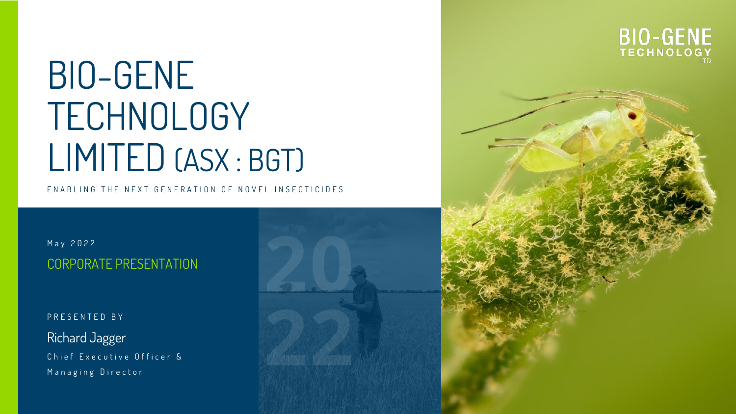# BIO-GENE TECHNOLOGY LIMITED (ASX : BGT)

E N A B L I N G T H E N E X T G E N E R A T LON O F N O V E L IN S E C T I C I D E S

M a y 2 0 2 2 CORPORATE PRESENTATION

PRESENTED BY

Richard Jagger Chief Executive Officer & Managing Director



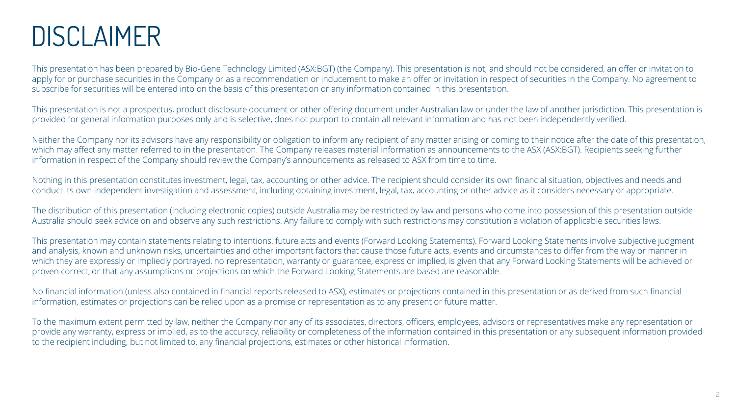### DISCLAIMER

This presentation has been prepared by Bio-Gene Technology Limited (ASX:BGT) (the Company). This presentation is not, and should not be considered, an offer or invitation to apply for or purchase securities in the Company or as a recommendation or inducement to make an offer or invitation in respect of securities in the Company. No agreement to subscribe for securities will be entered into on the basis of this presentation or any information contained in this presentation.

This presentation is not a prospectus, product disclosure document or other offering document under Australian law or under the law of another jurisdiction. This presentation is provided for general information purposes only and is selective, does not purport to contain all relevant information and has not been independently verified.

Neither the Company nor its advisors have any responsibility or obligation to inform any recipient of any matter arising or coming to their notice after the date of this presentation, which may affect any matter referred to in the presentation. The Company releases material information as announcements to the ASX (ASX:BGT). Recipients seeking further information in respect of the Company should review the Company's announcements as released to ASX from time to time.

Nothing in this presentation constitutes investment, legal, tax, accounting or other advice. The recipient should consider its own financial situation, objectives and needs and conduct its own independent investigation and assessment, including obtaining investment, legal, tax, accounting or other advice as it considers necessary or appropriate.

The distribution of this presentation (including electronic copies) outside Australia may be restricted by law and persons who come into possession of this presentation outside Australia should seek advice on and observe any such restrictions. Any failure to comply with such restrictions may constitution a violation of applicable securities laws.

This presentation may contain statements relating to intentions, future acts and events (Forward Looking Statements). Forward Looking Statements involve subjective judgment and analysis, known and unknown risks, uncertainties and other important factors that cause those future acts, events and circumstances to differ from the way or manner in which they are expressly or impliedly portrayed. no representation, warranty or guarantee, express or implied, is given that any Forward Looking Statements will be achieved or proven correct, or that any assumptions or projections on which the Forward Looking Statements are based are reasonable.

No financial information (unless also contained in financial reports released to ASX), estimates or projections contained in this presentation or as derived from such financial information, estimates or projections can be relied upon as a promise or representation as to any present or future matter.

To the maximum extent permitted by law, neither the Company nor any of its associates, directors, officers, employees, advisors or representatives make any representation or provide any warranty, express or implied, as to the accuracy, reliability or completeness of the information contained in this presentation or any subsequent information provided to the recipient including, but not limited to, any financial projections, estimates or other historical information.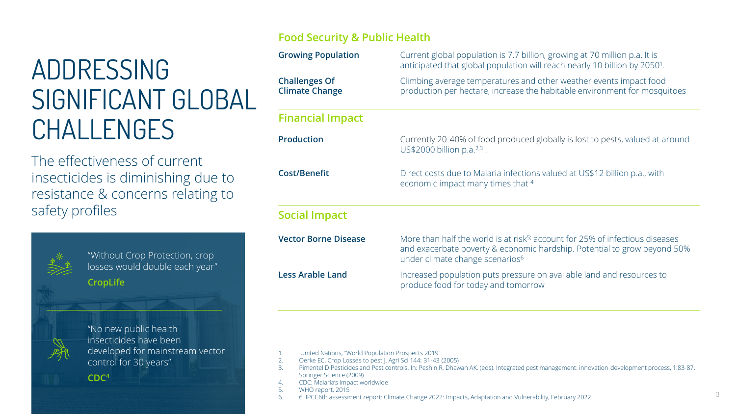## ADDRESSING SIGNIFICANT GLOBAL CHALLENGES

The effectiveness of current insecticides is diminishing due to resistance & concerns relating to safety profiles



"Without Crop Protection, crop losses would double each year" **CropLife**



"No new public health insecticides have been developed for mainstream vector control for 30 years"

### **CDC<sup>4</sup>**

### **Food Security & Public Health**

| <b>Growing Population</b>                     | Current global population is 7.7 billion, growing at 70 million p.a. It is<br>anticipated that global population will reach nearly 10 billion by 2050 <sup>1</sup> .                                                |
|-----------------------------------------------|---------------------------------------------------------------------------------------------------------------------------------------------------------------------------------------------------------------------|
| <b>Challenges Of</b><br><b>Climate Change</b> | Climbing average temperatures and other weather events impact food<br>production per hectare, increase the habitable environment for mosquitoes                                                                     |
| <b>Financial Impact</b>                       |                                                                                                                                                                                                                     |
| <b>Production</b>                             | Currently 20-40% of food produced globally is lost to pests, valued at around<br>US\$2000 billion p.a. $2,3$ .                                                                                                      |
| <b>Cost/Benefit</b>                           | Direct costs due to Malaria infections valued at US\$12 billion p.a., with<br>economic impact many times that 4                                                                                                     |
| <b>Social Impact</b>                          |                                                                                                                                                                                                                     |
| <b>Vector Borne Disease</b>                   | More than half the world is at risk <sup>5;</sup> account for 25% of infectious diseases<br>and exacerbate poverty & economic hardship. Potential to grow beyond 50%<br>under climate change scenarios <sup>6</sup> |
| <b>Less Arable Land</b>                       | Increased population puts pressure on available land and resources to<br>produce food for today and tomorrow                                                                                                        |

- 2. Oerke EC, Crop Losses to pest J. Agri Sci 144: 31-43 (2005)
- 3. Pimentel D Pesticides and Pest controls. In: Peshin R, Dhawan AK. (eds). Integrated pest management: innovation-development process, 1:83-87. Springer Science (2009)
- 4. CDC: Malaria's impact worldwide
- 5. WHO report, 2015
- 6. 6. IPCC6th assessment report: Climate Change 2022: Impacts, Adaptation and Vulnerability, February 2022

<sup>1.</sup> United Nations, "World Population Prospects 2019"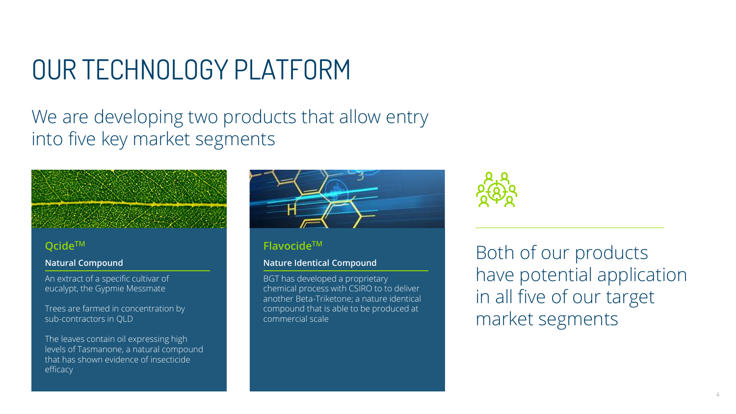## OUR TECHNOLOGY PLATFORM

### We are developing two products that allow entry into five key market segments

### **QcideTM**

#### **Natural Compound**

An extract of a specific cultivar of eucalypt, the Gypmie Messmate

Trees are farmed in concentration by sub-contractors in QLD

The leaves contain oil expressing high levels of Tasmanone, a natural compound that has shown evidence of insecticide efficacy



### **FlavocideTM**

### **Nature Identical Compound**

BGT has developed a proprietary chemical process with CSIRO to to deliver another Beta-Triketone; a nature identical compound that is able to be produced at commercial scale



Both of our products have potential application in all five of our target market segments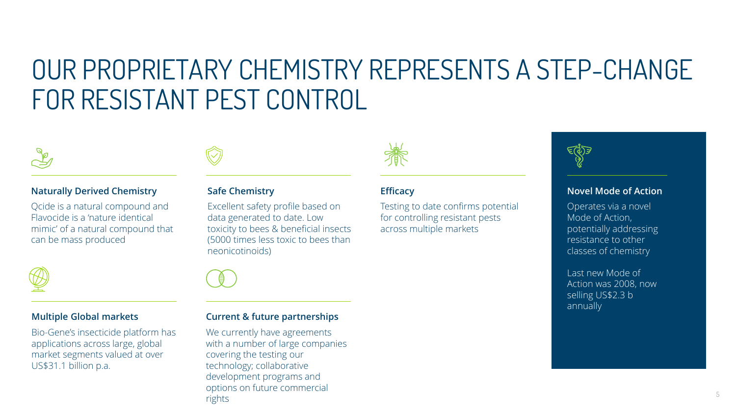### OUR PROPRIETARY CHEMISTRY REPRESENTS A STEP-CHANGE FOR RESISTANT PEST CONTROL



### **Naturally Derived Chemistry**

Qcide is a natural compound and Flavocide is a 'nature identical mimic' of a natural compound that can be mass produced

#### **Multiple Global markets**

Bio-Gene's insecticide platform has applications across large, global market segments valued at over US\$31.1 billion p.a.



### **Safe Chemistry**

Excellent safety profile based on data generated to date. Low toxicity to bees & beneficial insects (5000 times less toxic to bees than neonicotinoids)



### **Current & future partnerships**

We currently have agreements with a number of large companies covering the testing our technology; collaborative development programs and options on future commercial rights



### **Efficacy**

Testing to date confirms potential for controlling resistant pests across multiple markets



### **Novel Mode of Action**

Operates via a novel Mode of Action, potentially addressing resistance to other classes of chemistry

Last new Mode of Action was 2008, now selling US\$2.3 b annually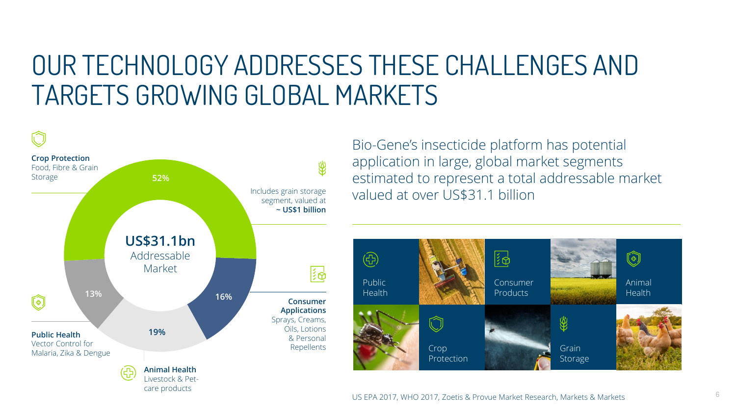### OUR TECHNOLOGY ADDRESSES THESE CHALLENGES AND TARGETS GROWING GLOBAL MARKETS



Bio-Gene's insecticide platform has potential application in large, global market segments estimated to represent a total addressable market valued at over US\$31.1 billion

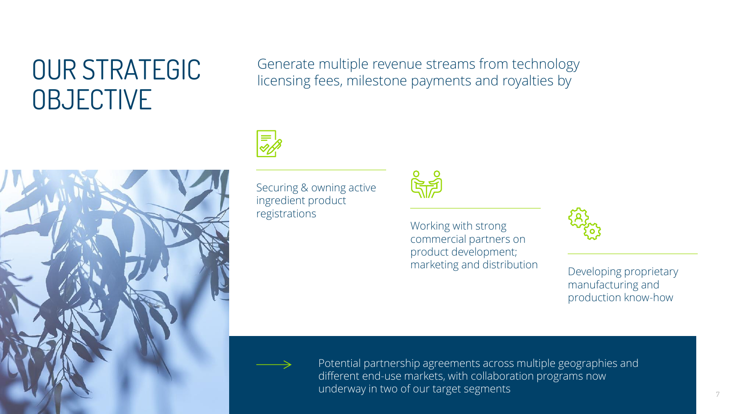## OUR STRATEGIC **OBJECTIVE**

Generate multiple revenue streams from technology licensing fees, milestone payments and royalties by





Securing & owning active ingredient product registrations



Working with strong commercial partners on product development; marketing and distribution Developing proprietary



manufacturing and production know-how

Potential partnership agreements across multiple geographies and different end-use markets, with collaboration programs now underway in two of our target segments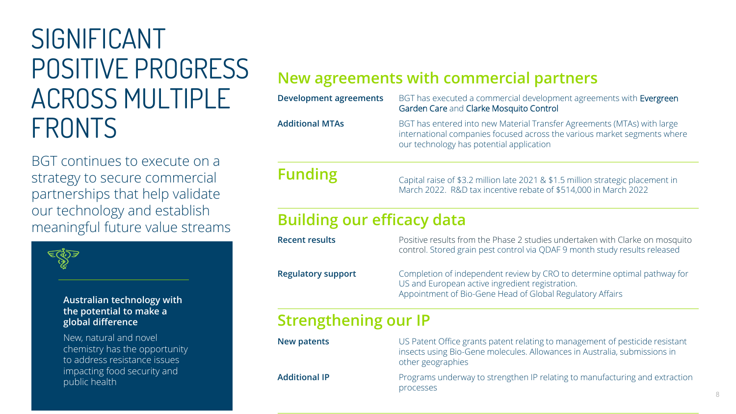## SIGNIFICANT POSITIVE PROGRESS ACROSS MULTIPLE FRONTS

BGT continues to execute on a strategy to secure commercial partnerships that help validate our technology and establish meaningful future value streams

### **Australian technology with the potential to make a global difference**

New, natural and novel chemistry has the opportunity to address resistance issues impacting food security and public health

### **New agreements with commercial partners**

| <b>Development agreements</b>     | BGT has executed a commercial development agreements with Evergreen<br>Garden Care and Clarke Mosquito Control                                                                                  |
|-----------------------------------|-------------------------------------------------------------------------------------------------------------------------------------------------------------------------------------------------|
| <b>Additional MTAs</b>            | BGT has entered into new Material Transfer Agreements (MTAs) with large<br>international companies focused across the various market segments where<br>our technology has potential application |
| <b>Funding</b>                    | Capital raise of \$3.2 million late 2021 & \$1.5 million strategic placement in<br>March 2022. R&D tax incentive rebate of \$514,000 in March 2022                                              |
| <b>Building our efficacy data</b> |                                                                                                                                                                                                 |
| <b>Recent results</b>             | Positive results from the Phase 2 studies undertaken with Clarke on mosquito<br>control. Stored grain pest control via QDAF 9 month study results released                                      |
| <b>Regulatory support</b>         | Completion of independent review by CRO to determine optimal pathway for<br>US and European active ingredient registration.<br>Appointment of Bio-Gene Head of Global Regulatory Affairs        |
| <b>Strengthening our IP</b>       |                                                                                                                                                                                                 |
| <b>New patents</b>                | US Patent Office grants patent relating to management of pesticide resistant<br>insects using Bio-Gene molecules. Allowances in Australia, submissions in<br>other geographies                  |

**Additional IP** Programs underway to strengthen IP relating to manufacturing and extraction processes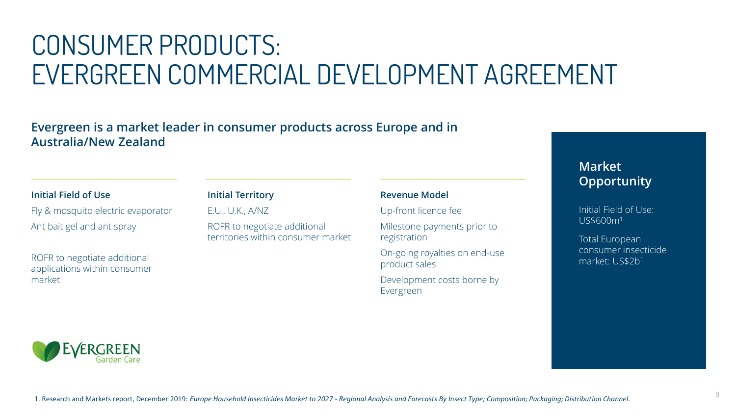## CONSUMER PRODUCTS: EVERGREEN COMMERCIAL DEVELOPMENT AGREEMENT

### **Evergreen is a market leader in consumer products across Europe and in Australia/New Zealand**

### **Initial Field of Use**

Fly & mosquito electric evaporator Ant bait gel and ant spray

ROFR to negotiate additional applications within consumer market

### **Initial Territory**

E.U., U.K., A/NZ

ROFR to negotiate additional territories within consumer market

### **Revenue Model**

Up-front licence fee

Milestone payments prior to registration

On-going royalties on end-use product sales

Development costs borne by Evergreen

### **Market Opportunity**

Initial Field of Use: US\$600m<sup>1</sup>

Total European consumer insecticide market: US\$2b<sup>1</sup>

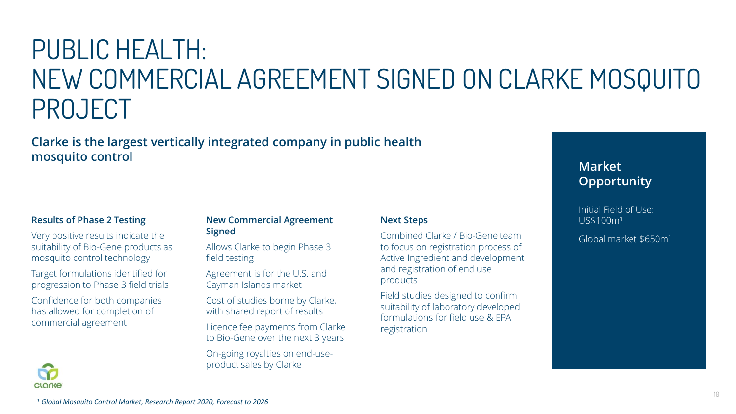## PUBLIC HEALTH: NEW COMMERCIAL AGREEMENT SIGNED ON CLARKE MOSQUITO PROJECT

**Clarke is the largest vertically integrated company in public health mosquito control**

### **Results of Phase 2 Testing**

Very positive results indicate the suitability of Bio-Gene products as mosquito control technology

Target formulations identified for progression to Phase 3 field trials

Confidence for both companies has allowed for completion of commercial agreement

**CLOCKE** 

#### **New Commercial Agreement Signed**

Allows Clarke to begin Phase 3 field testing

Agreement is for the U.S. and Cayman Islands market

Cost of studies borne by Clarke, with shared report of results

Licence fee payments from Clarke to Bio-Gene over the next 3 years

On-going royalties on end-useproduct sales by Clarke

### **Next Steps**

Combined Clarke / Bio-Gene team to focus on registration process of Active Ingredient and development and registration of end use products

Field studies designed to confirm suitability of laboratory developed formulations for field use & EPA registration

### **Market Opportunity**

Initial Field of Use: US\$100m<sup>1</sup>

Global market \$650m<sup>1</sup>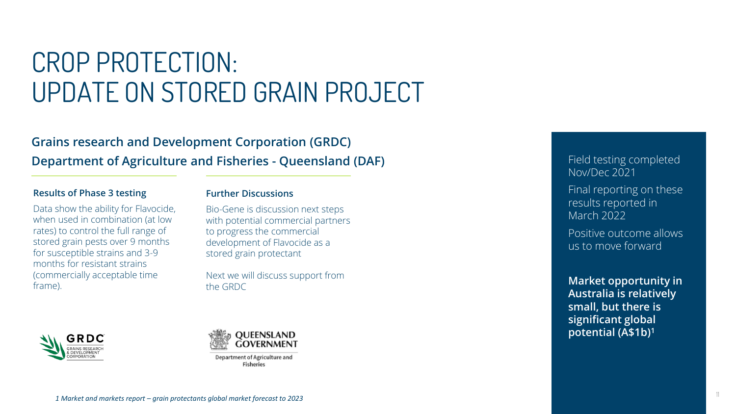## CROP PROTECTION: UPDATE ON STORED GRAIN PROJECT

### **Grains research and Development Corporation (GRDC) Department of Agriculture and Fisheries - Queensland (DAF)**

#### **Results of Phase 3 testing**

Data show the ability for Flavocide, when used in combination (at low rates) to control the full range of stored grain pests over 9 months for susceptible strains and 3-9 months for resistant strains (commercially acceptable time frame).

### **Further Discussions**

Bio-Gene is discussion next steps with potential commercial partners to progress the commercial development of Flavocide as a stored grain protectant

Next we will discuss support from the GRDC





**Department of Agriculture and Fisheries** 

Field testing completed Nov/Dec 2021

Final reporting on these results reported in March 2022

Positive outcome allows us to move forward

**Market opportunity in Australia is relatively small, but there is significant global potential (A\$1b)<sup>1</sup>**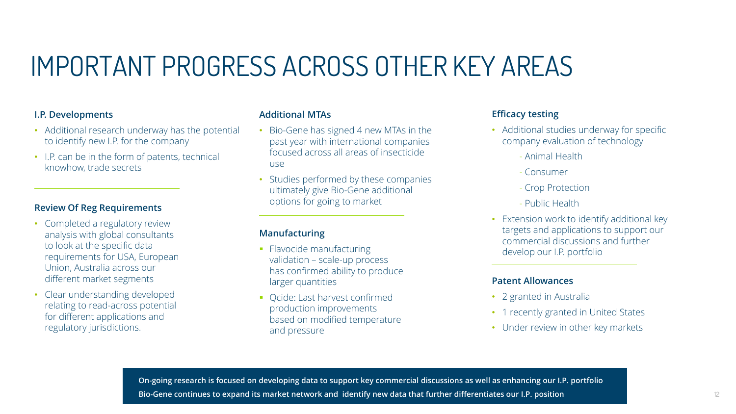## IMPORTANT PROGRESS ACROSS OTHER KEY AREAS

### **I.P. Developments**

- Additional research underway has the potential to identify new I.P. for the company
- I.P. can be in the form of patents, technical knowhow, trade secrets

### **Review Of Reg Requirements**

- Completed a regulatory review analysis with global consultants to look at the specific data requirements for USA, European Union, Australia across our different market segments
- Clear understanding developed relating to read-across potential for different applications and regulatory jurisdictions.

#### **Additional MTAs**

- Bio-Gene has signed 4 new MTAs in the past year with international companies focused across all areas of insecticide use
- Studies performed by these companies ultimately give Bio-Gene additional options for going to market

### **Manufacturing**

- **Flavocide manufacturing** validation – scale-up process has confirmed ability to produce larger quantities
- Qcide: Last harvest confirmed production improvements based on modified temperature and pressure

### **Efficacy testing**

- Additional studies underway for specific company evaluation of technology
	- Animal Health
	- Consumer
	- Crop Protection
	- Public Health
- Extension work to identify additional key targets and applications to support our commercial discussions and further develop our I.P. portfolio

#### **Patent Allowances**

- 2 granted in Australia
- 1 recently granted in United States
- Under review in other key markets

**On-going research is focused on developing data to support key commercial discussions as well as enhancing our I.P. portfolio Bio-Gene continues to expand its market network and identify new data that further differentiates our I.P. position**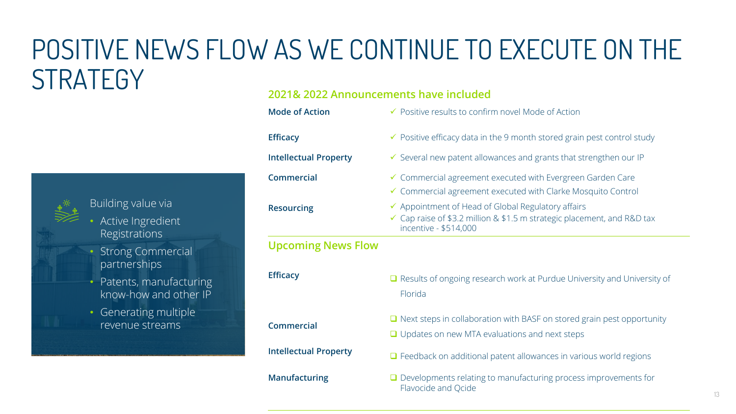## POSITIVE NEWS FLOW AS WE CONTINUE TO EXECUTE ON THE **STRATEGY**



### **2021& 2022 Announcements have included**

| <b>Mode of Action</b>        | ✔ Positive results to confirm novel Mode of Action                                                                                                     |
|------------------------------|--------------------------------------------------------------------------------------------------------------------------------------------------------|
| <b>Efficacy</b>              | ✔ Positive efficacy data in the 9 month stored grain pest control study                                                                                |
| <b>Intellectual Property</b> | ✔ Several new patent allowances and grants that strengthen our IP                                                                                      |
| <b>Commercial</b>            | ✔ Commercial agreement executed with Evergreen Garden Care<br>✔ Commercial agreement executed with Clarke Mosquito Control                             |
| <b>Resourcing</b>            | ✔ Appointment of Head of Global Regulatory affairs<br>✓ Cap raise of \$3.2 million & \$1.5 m strategic placement, and R&D tax<br>incentive - \$514,000 |
| <b>Upcoming News Flow</b>    |                                                                                                                                                        |
| <b>Efficacy</b>              | $\Box$ Results of ongoing research work at Purdue University and University of<br>Florida                                                              |
|                              |                                                                                                                                                        |
| <b>Commercial</b>            | $\Box$ Next steps in collaboration with BASF on stored grain pest opportunity<br>$\Box$ Updates on new MTA evaluations and next steps                  |
| <b>Intellectual Property</b> | Feedback on additional patent allowances in various world regions                                                                                      |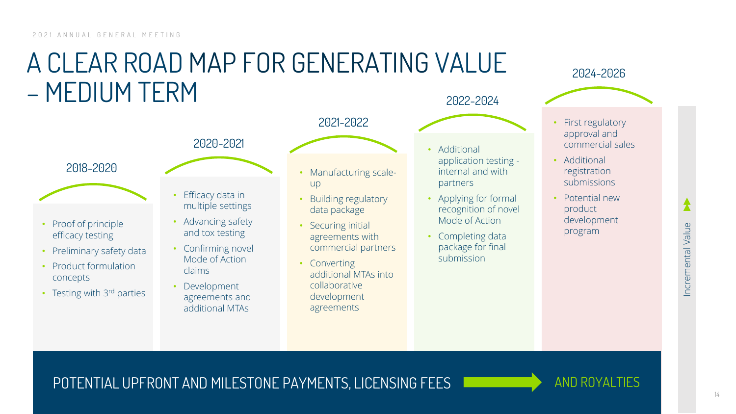### A CLEAR ROAD MAP FOR GENERATING VALUE – MEDIUM TERM 2022-2024



- Proof of principle efficacy testing
- Preliminary safety data
- Product formulation concepts
- Testing with 3rd parties



2021-2022

**Efficacy data in** multiple settings

2020-2021

- Advancing safety and tox testing
- Confirming novel Mode of Action claims
- Development agreements and additional MTAs
- Manufacturing scaleup
- Building regulatory data package
- Securing initial agreements with commercial partners
- Converting additional MTAs into collaborative development agreements
- Additional application testing internal and with partners
- Applying for formal recognition of novel Mode of Action
- Completing data package for final submission

### 2024-2026



- First regulatory approval and commercial sales
- Additional registration submissions
- Potential new product development program

POTENTIAL UPFRONT AND MILESTONE PAYMENTS, LICENSING FEES **AND ROYALTIES** 

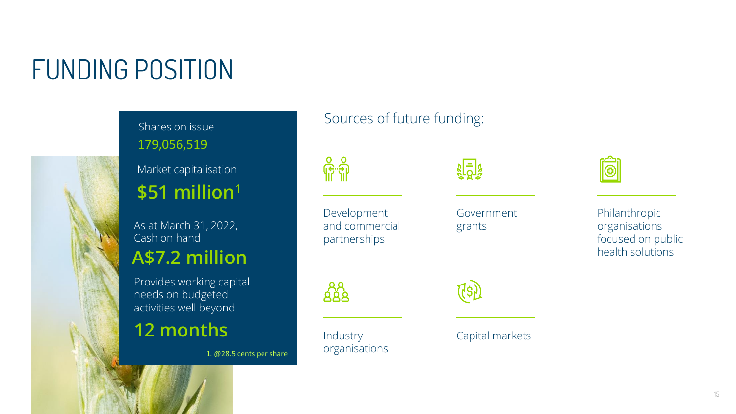## FUNDING POSITION



Shares on issue 179,056,519

Market capitalisation **\$51 million<sup>1</sup>**

As at March 31, 2022, Cash on hand **A\$7.2 million**

Provides working capital needs on budgeted activities well beyond

### **12 months**

1. @28.5 cents per share

### Sources of future funding:

Development and commercial partnerships Government grants

**Industry** organisations

၉ ရှိ<br>ကြံ

((၃)

Capital markets



Philanthropic organisations focused on public health solutions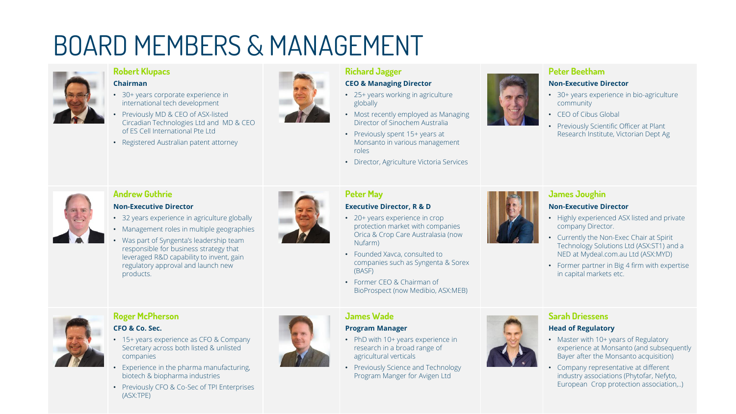## BOARD MEMBERS & MANAGEMENT



#### **Robert Klupacs Chairman**

- 30+ years corporate experience in international tech development
- Previously MD & CEO of ASX-listed Circadian Technologies Ltd and MD & CEO of ES Cell International Pte Ltd
- Registered Australian patent attorney



#### **Richard Jagger CEO & Managing Director**

- 25+ years working in agriculture globally
- Most recently employed as Managing Director of Sinochem Australia
- Previously spent 15+ years at Monsanto in various management roles
- Director, Agriculture Victoria Services

### **Peter Beetham Non-Executive Director**

- 30+ years experience in bio-agriculture community
- CEO of Cibus Global
- Previously Scientific Officer at Plant Research Institute, Victorian Dept Ag



### **Andrew Guthrie**

#### **Non-Executive Director**

- 32 years experience in agriculture globally
- Management roles in multiple geographies
- Was part of Syngenta's leadership team responsible for business strategy that leveraged R&D capability to invent, gain regulatory approval and launch new products.



### **Peter May**

### **Executive Director, R & D**

- 20+ years experience in crop protection market with companies Orica & Crop Care Australasia (now Nufarm)
- Founded Xavca, consulted to companies such as Syngenta & Sorex (BASF)
- Former CEO & Chairman of BioProspect (now Medibio, ASX:MEB)



### **James Joughin**

### **Non-Executive Director**

- Highly experienced ASX listed and private company Director.
- Currently the Non-Exec Chair at Spirit Technology Solutions Ltd (ASX:ST1) and a NED at Mydeal.com.au Ltd (ASX:MYD)
- Former partner in Big 4 firm with expertise in capital markets etc.



### **Roger McPherson**

### **CFO & Co. Sec.**

- 15+ years experience as CFO & Company Secretary across both listed & unlisted companies
- Experience in the pharma manufacturing, biotech & biopharma industries
- Previously CFO & Co-Sec of TPI Enterprises (ASX:TPE)



### **James Wade**

### **Program Manager**

- PhD with 10+ years experience in research in a broad range of agricultural verticals
- Previously Science and Technology Program Manger for Avigen Ltd



### **Sarah Driessens**

### **Head of Regulatory**

- Master with 10+ years of Regulatory experience at Monsanto (and subsequently Bayer after the Monsanto acquisition)
- Company representative at different industry associations (Phytofar, Nefyto, European Crop protection association,..)